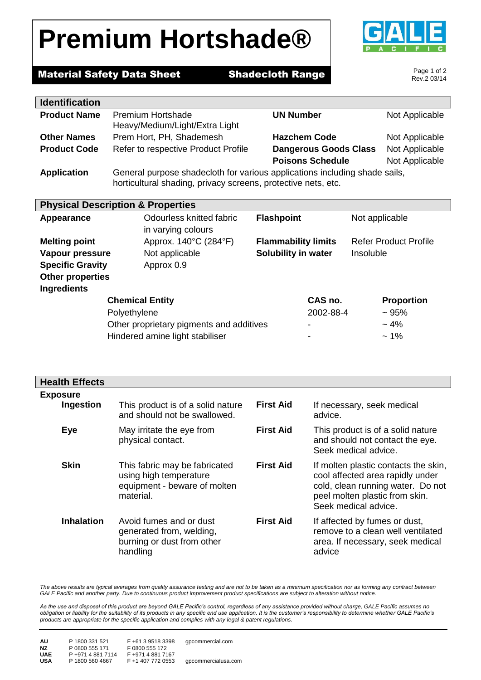# **Premium Hortshade®**



### **Material Safety Data Sheet Shadecloth Range**

Page 1 of 2 Rev.2 03/14

| <b>Identification</b> |                                                                                                                                             |                              |                |
|-----------------------|---------------------------------------------------------------------------------------------------------------------------------------------|------------------------------|----------------|
| <b>Product Name</b>   | <b>Premium Hortshade</b><br>Heavy/Medium/Light/Extra Light                                                                                  | <b>UN Number</b>             | Not Applicable |
| <b>Other Names</b>    | Prem Hort, PH, Shademesh                                                                                                                    | <b>Hazchem Code</b>          | Not Applicable |
| <b>Product Code</b>   | Refer to respective Product Profile                                                                                                         | <b>Dangerous Goods Class</b> | Not Applicable |
|                       |                                                                                                                                             | <b>Poisons Schedule</b>      | Not Applicable |
| <b>Application</b>    | General purpose shadecloth for various applications including shade sails,<br>horticultural shading, privacy screens, protective nets, etc. |                              |                |

| <b>Physical Description &amp; Properties</b> |                                                |                            |                              |  |
|----------------------------------------------|------------------------------------------------|----------------------------|------------------------------|--|
| Appearance                                   | Odourless knitted fabric<br>in varying colours | <b>Flashpoint</b>          | Not applicable               |  |
| <b>Melting point</b>                         | Approx. 140°C (284°F)                          | <b>Flammability limits</b> | <b>Refer Product Profile</b> |  |
| Vapour pressure                              | Not applicable                                 | Solubility in water        | Insoluble                    |  |
| <b>Specific Gravity</b>                      | Approx 0.9                                     |                            |                              |  |
| <b>Other properties</b>                      |                                                |                            |                              |  |
| <b>Ingredients</b>                           |                                                |                            |                              |  |
| <b>Chemical Entity</b>                       |                                                | CAS no.                    | <b>Proportion</b>            |  |
| Polyethylene                                 |                                                | 2002-88-4                  | $~1$ 95%                     |  |
| Other proprietary pigments and additives     |                                                | -                          | $~1\frac{4}{6}$              |  |
|                                              | Hindered amine light stabiliser                |                            | $~1\%$                       |  |

| <b>Health Effects</b>        |                                                                                                      |                  |                                                                                                                                                                         |
|------------------------------|------------------------------------------------------------------------------------------------------|------------------|-------------------------------------------------------------------------------------------------------------------------------------------------------------------------|
| <b>Exposure</b><br>Ingestion | This product is of a solid nature<br>and should not be swallowed.                                    | <b>First Aid</b> | If necessary, seek medical<br>advice.                                                                                                                                   |
| Eye                          | May irritate the eye from<br>physical contact.                                                       | <b>First Aid</b> | This product is of a solid nature<br>and should not contact the eye.<br>Seek medical advice.                                                                            |
| <b>Skin</b>                  | This fabric may be fabricated<br>using high temperature<br>equipment - beware of molten<br>material. | <b>First Aid</b> | If molten plastic contacts the skin,<br>cool affected area rapidly under<br>cold, clean running water. Do not<br>peel molten plastic from skin.<br>Seek medical advice. |
| <b>Inhalation</b>            | Avoid fumes and or dust<br>generated from, welding,<br>burning or dust from other<br>handling        | <b>First Aid</b> | If affected by fumes or dust,<br>remove to a clean well ventilated<br>area. If necessary, seek medical<br>advice                                                        |

The above results are typical averages from quality assurance testing and are not to be taken as a minimum specification nor as forming any contract between *GALE Pacific and another party. Due to continuous product improvement product specifications are subject to alteration without notice.*

*As the use and disposal of this product are beyond GALE Pacific's control, regardless of any assistance provided without charge, GALE Pacific assumes no obligation or liability for the suitability of its products in any specific end use application. It is the customer's responsibility to determine whether GALE Pacific's products are appropriate for the specific application and complies with any legal & patent regulations.*